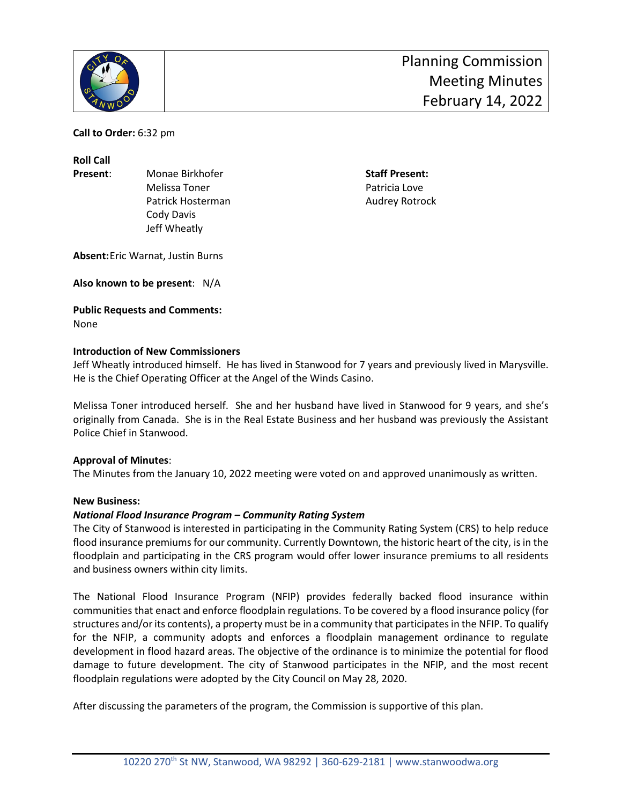

**Call to Order:** 6:32 pm

**Roll Call**

**Present:** Monae Birkhofer **Staff Present:** Staff Present: Melissa Toner **Patricia** Love Patrick Hosterman **Audrey Rotrock Audrey Rotrock**  Cody Davis Jeff Wheatly

**Absent:**Eric Warnat, Justin Burns

**Also known to be present**: N/A

# **Public Requests and Comments:**

None

## **Introduction of New Commissioners**

Jeff Wheatly introduced himself. He has lived in Stanwood for 7 years and previously lived in Marysville. He is the Chief Operating Officer at the Angel of the Winds Casino.

Melissa Toner introduced herself. She and her husband have lived in Stanwood for 9 years, and she's originally from Canada. She is in the Real Estate Business and her husband was previously the Assistant Police Chief in Stanwood.

# **Approval of Minutes**:

The Minutes from the January 10, 2022 meeting were voted on and approved unanimously as written.

#### **New Business:**

#### *National Flood Insurance Program – Community Rating System*

The City of Stanwood is interested in participating in the Community Rating System (CRS) to help reduce flood insurance premiums for our community. Currently Downtown, the historic heart of the city, is in the floodplain and participating in the CRS program would offer lower insurance premiums to all residents and business owners within city limits.

The National Flood Insurance Program (NFIP) provides federally backed flood insurance within communities that enact and enforce floodplain regulations. To be covered by a flood insurance policy (for structures and/or its contents), a property must be in a community that participates in the NFIP. To qualify for the NFIP, a community adopts and enforces a floodplain management ordinance to regulate development in flood hazard areas. The objective of the ordinance is to minimize the potential for flood damage to future development. The city of Stanwood participates in the NFIP, and the most recent floodplain regulations were adopted by the City Council on May 28, 2020.

After discussing the parameters of the program, the Commission is supportive of this plan.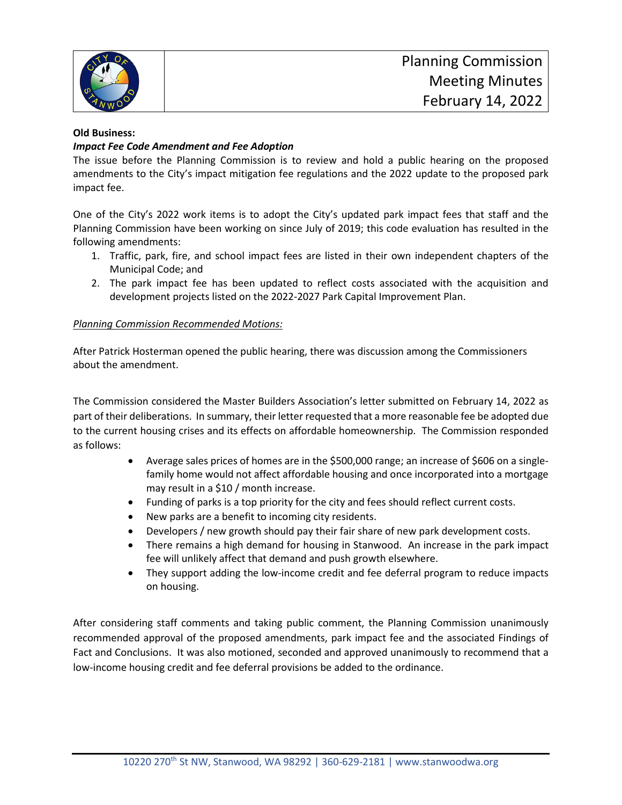

#### **Old Business:**

## *Impact Fee Code Amendment and Fee Adoption*

The issue before the Planning Commission is to review and hold a public hearing on the proposed amendments to the City's impact mitigation fee regulations and the 2022 update to the proposed park impact fee.

One of the City's 2022 work items is to adopt the City's updated park impact fees that staff and the Planning Commission have been working on since July of 2019; this code evaluation has resulted in the following amendments:

- 1. Traffic, park, fire, and school impact fees are listed in their own independent chapters of the Municipal Code; and
- 2. The park impact fee has been updated to reflect costs associated with the acquisition and development projects listed on the 2022-2027 Park Capital Improvement Plan.

## *Planning Commission Recommended Motions:*

After Patrick Hosterman opened the public hearing, there was discussion among the Commissioners about the amendment.

The Commission considered the Master Builders Association's letter submitted on February 14, 2022 as part of their deliberations. In summary, their letter requested that a more reasonable fee be adopted due to the current housing crises and its effects on affordable homeownership. The Commission responded as follows:

- Average sales prices of homes are in the \$500,000 range; an increase of \$606 on a singlefamily home would not affect affordable housing and once incorporated into a mortgage may result in a \$10 / month increase.
- Funding of parks is a top priority for the city and fees should reflect current costs.
- New parks are a benefit to incoming city residents.
- Developers / new growth should pay their fair share of new park development costs.
- There remains a high demand for housing in Stanwood. An increase in the park impact fee will unlikely affect that demand and push growth elsewhere.
- They support adding the low-income credit and fee deferral program to reduce impacts on housing.

After considering staff comments and taking public comment, the Planning Commission unanimously recommended approval of the proposed amendments, park impact fee and the associated Findings of Fact and Conclusions. It was also motioned, seconded and approved unanimously to recommend that a low-income housing credit and fee deferral provisions be added to the ordinance.